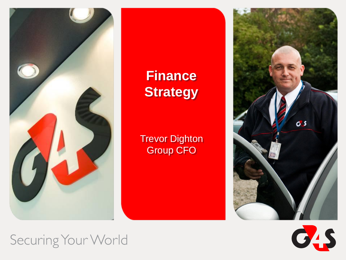

## **Finance Strategy**

Trevor Dighton Group CFO





Securing Your World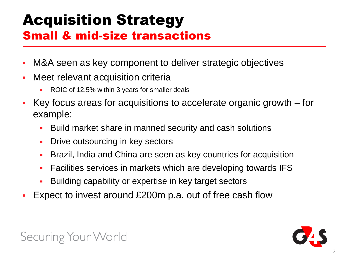## Acquisition Strategy Small & mid-size transactions

- M&A seen as key component to deliver strategic objectives
- Meet relevant acquisition criteria
	- ROIC of 12.5% within 3 years for smaller deals
- Key focus areas for acquisitions to accelerate organic growth for example:
	- Build market share in manned security and cash solutions
	- **Drive outsourcing in key sectors**
	- Brazil, India and China are seen as key countries for acquisition
	- Facilities services in markets which are developing towards IFS
	- Building capability or expertise in key target sectors
- Expect to invest around £200m p.a. out of free cash flow

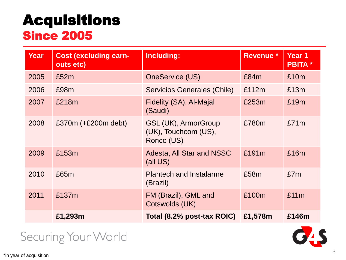# Acquisitions

### Since 2005

| <b>Year</b> | <b>Cost (excluding earn-</b><br>outs etc) | Including:                                                        | <b>Revenue *</b> | Year 1<br><b>PBITA</b> * |
|-------------|-------------------------------------------|-------------------------------------------------------------------|------------------|--------------------------|
| 2005        | £52m                                      | <b>OneService (US)</b>                                            | £84m             | £10m                     |
| 2006        | £98m                                      | Servicios Generales (Chile)                                       | £112m            | £13m                     |
| 2007        | £218m                                     | Fidelity (SA), Al-Majal<br>(Saudi)                                | £253m            | £19m                     |
| 2008        | £370 $m$ (+£200 $m$ debt)                 | <b>GSL (UK), ArmorGroup</b><br>(UK), Touchcom (US),<br>Ronco (US) | £780m            | £71m                     |
| 2009        | £153m                                     | Adesta, All Star and NSSC<br>(all US)                             | £191m            | £16m                     |
| 2010        | £65m                                      | <b>Plantech and Instalarme</b><br>(Brazil)                        | £58m             | £7m                      |
| 2011        | £137m                                     | FM (Brazil), GML and<br>Cotswolds (UK)                            | £100m            | £11m                     |
|             | £1,293m                                   | Total (8.2% post-tax ROIC)                                        | £1,578m          | £146m                    |

Securing Your World

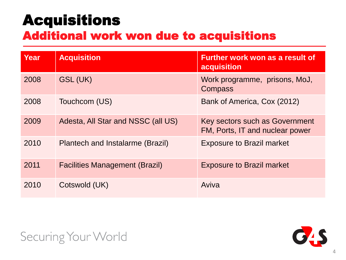## Acquisitions

### Additional work won due to acquisitions

| Year | <b>Acquisition</b>                    | Further work won as a result of<br>acquisition                    |
|------|---------------------------------------|-------------------------------------------------------------------|
| 2008 | GSL (UK)                              | Work programme, prisons, MoJ,<br>Compass                          |
| 2008 | Touchcom (US)                         | Bank of America, Cox (2012)                                       |
| 2009 | Adesta, All Star and NSSC (all US)    | Key sectors such as Government<br>FM, Ports, IT and nuclear power |
| 2010 | Plantech and Instalarme (Brazil)      | <b>Exposure to Brazil market</b>                                  |
| 2011 | <b>Facilities Management (Brazil)</b> | <b>Exposure to Brazil market</b>                                  |
| 2010 | Cotswold (UK)                         | Aviva                                                             |

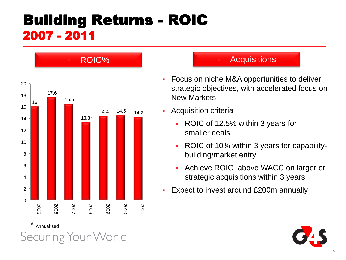### Building Returns - ROIC 2007 - 2011



#### **Acquisitions**

- **Focus on niche M&A opportunities to deliver** strategic objectives, with accelerated focus on New Markets
- **Acquisition criteria** 
	- ROIC of 12.5% within 3 years for smaller deals
	- ROIC of 10% within 3 years for capabilitybuilding/market entry
	- Achieve ROIC above WACC on larger or strategic acquisitions within 3 years
- **Expect to invest around £200m annually**

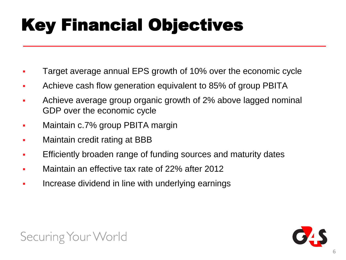# Key Financial Objectives

- Target average annual EPS growth of 10% over the economic cycle
- Achieve cash flow generation equivalent to 85% of group PBITA
- Achieve average group organic growth of 2% above lagged nominal GDP over the economic cycle
- Maintain c.7% group PBITA margin
- Maintain credit rating at BBB
- Efficiently broaden range of funding sources and maturity dates
- Maintain an effective tax rate of 22% after 2012
- Increase dividend in line with underlying earnings



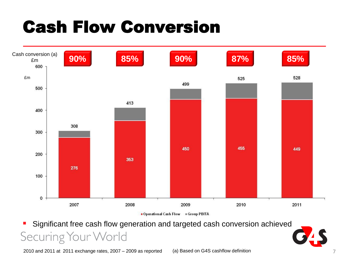# Cash Flow Conversion



 Significant free cash flow generation and targeted cash conversion achieved Securing Your World

2010 and 2011 at 2011 exchange rates, 2007 – 2009 as reported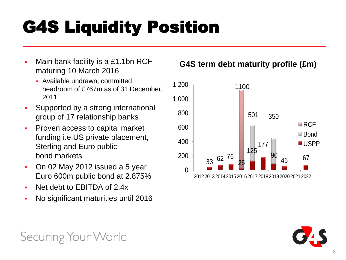# G4S Liquidity Position

- Main bank facility is a £1.1bn RCF maturing 10 March 2016
	- Available undrawn, committed headroom of £767m as of 31 December, 2011
- Supported by a strong international group of 17 relationship banks
- **Proven access to capital market** funding i.e.US private placement, Sterling and Euro public bond markets
- On 02 May 2012 issued a 5 year Euro 600m public bond at 2.875%
- Net debt to EBITDA of 2.4x
- No significant maturities until 2016

#### **G4S term debt maturity profile (£m)**





Securing Your World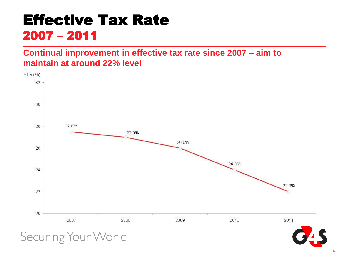### Effective Tax Rate 2007 – 2011

#### **Continual improvement in effective tax rate since 2007 – aim to maintain at around 22% level**